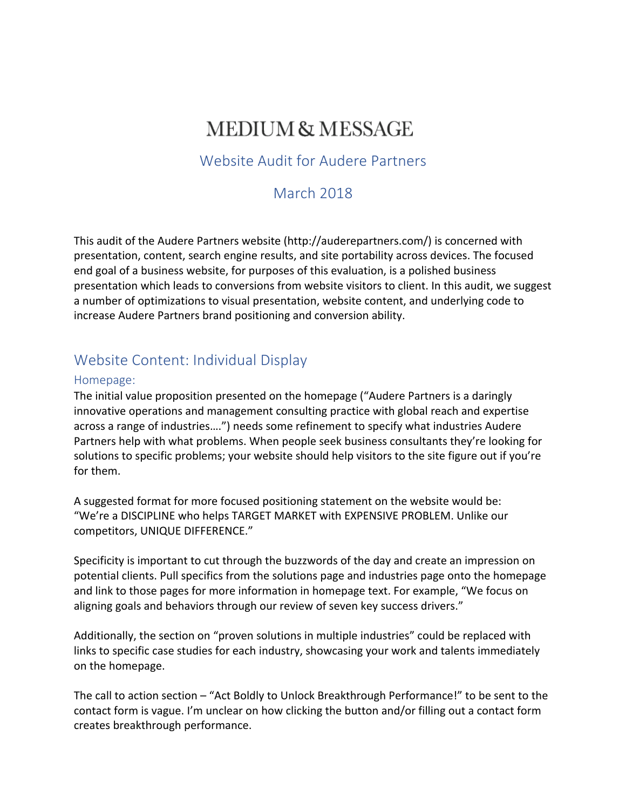# **MEDIUM & MESSAGE**

### Website Audit for Audere Partners

### March 2018

This audit of the Audere Partners website (http://auderepartners.com/) is concerned with presentation, content, search engine results, and site portability across devices. The focused end goal of a business website, for purposes of this evaluation, is a polished business presentation which leads to conversions from website visitors to client. In this audit, we suggest a number of optimizations to visual presentation, website content, and underlying code to increase Audere Partners brand positioning and conversion ability.

### Website Content: Individual Display

#### Homepage:

The initial value proposition presented on the homepage ("Audere Partners is a daringly innovative operations and management consulting practice with global reach and expertise across a range of industries....") needs some refinement to specify what industries Audere Partners help with what problems. When people seek business consultants they're looking for solutions to specific problems; your website should help visitors to the site figure out if you're for them.

A suggested format for more focused positioning statement on the website would be: "We're a DISCIPLINE who helps TARGET MARKET with EXPENSIVE PROBLEM. Unlike our competitors, UNIQUE DIFFERENCE."

Specificity is important to cut through the buzzwords of the day and create an impression on potential clients. Pull specifics from the solutions page and industries page onto the homepage and link to those pages for more information in homepage text. For example, "We focus on aligning goals and behaviors through our review of seven key success drivers."

Additionally, the section on "proven solutions in multiple industries" could be replaced with links to specific case studies for each industry, showcasing your work and talents immediately on the homepage.

The call to action section  $-$  "Act Boldly to Unlock Breakthrough Performance!" to be sent to the contact form is vague. I'm unclear on how clicking the button and/or filling out a contact form creates breakthrough performance.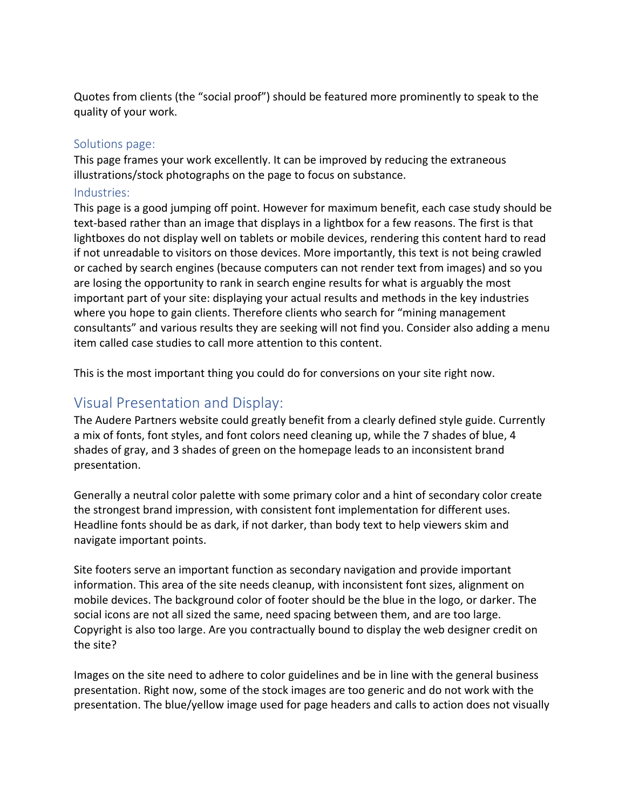Quotes from clients (the "social proof") should be featured more prominently to speak to the quality of your work.

#### Solutions page:

This page frames your work excellently. It can be improved by reducing the extraneous illustrations/stock photographs on the page to focus on substance.

#### Industries:

This page is a good jumping off point. However for maximum benefit, each case study should be text-based rather than an image that displays in a lightbox for a few reasons. The first is that lightboxes do not display well on tablets or mobile devices, rendering this content hard to read if not unreadable to visitors on those devices. More importantly, this text is not being crawled or cached by search engines (because computers can not render text from images) and so you are losing the opportunity to rank in search engine results for what is arguably the most important part of your site: displaying your actual results and methods in the key industries where you hope to gain clients. Therefore clients who search for "mining management" consultants" and various results they are seeking will not find you. Consider also adding a menu item called case studies to call more attention to this content.

This is the most important thing you could do for conversions on your site right now.

### Visual Presentation and Display:

The Audere Partners website could greatly benefit from a clearly defined style guide. Currently a mix of fonts, font styles, and font colors need cleaning up, while the 7 shades of blue, 4 shades of gray, and 3 shades of green on the homepage leads to an inconsistent brand presentation. 

Generally a neutral color palette with some primary color and a hint of secondary color create the strongest brand impression, with consistent font implementation for different uses. Headline fonts should be as dark, if not darker, than body text to help viewers skim and navigate important points.

Site footers serve an important function as secondary navigation and provide important information. This area of the site needs cleanup, with inconsistent font sizes, alignment on mobile devices. The background color of footer should be the blue in the logo, or darker. The social icons are not all sized the same, need spacing between them, and are too large. Copyright is also too large. Are you contractually bound to display the web designer credit on the site?

Images on the site need to adhere to color guidelines and be in line with the general business presentation. Right now, some of the stock images are too generic and do not work with the presentation. The blue/yellow image used for page headers and calls to action does not visually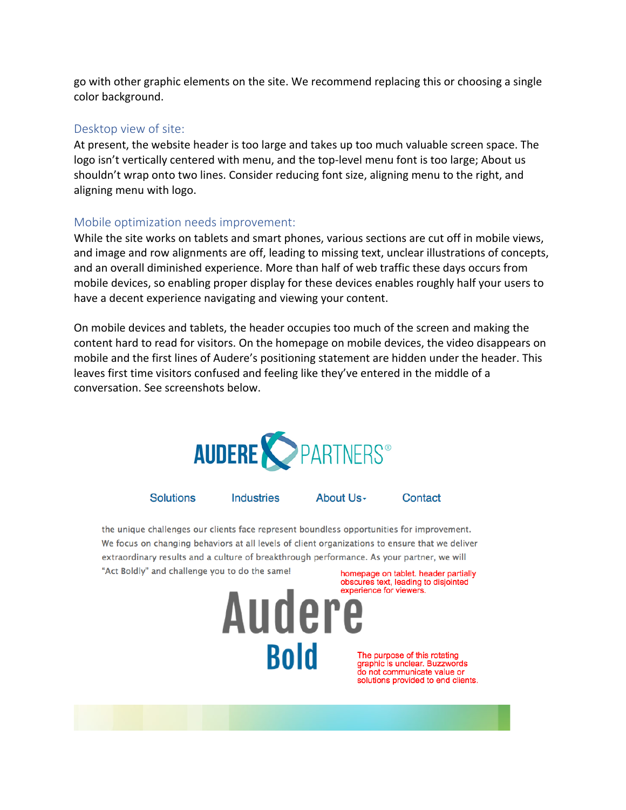go with other graphic elements on the site. We recommend replacing this or choosing a single color background.

#### Desktop view of site:

At present, the website header is too large and takes up too much valuable screen space. The logo isn't vertically centered with menu, and the top-level menu font is too large; About us shouldn't wrap onto two lines. Consider reducing font size, aligning menu to the right, and aligning menu with logo.

#### Mobile optimization needs improvement:

While the site works on tablets and smart phones, various sections are cut off in mobile views, and image and row alignments are off, leading to missing text, unclear illustrations of concepts, and an overall diminished experience. More than half of web traffic these days occurs from mobile devices, so enabling proper display for these devices enables roughly half your users to have a decent experience navigating and viewing your content.

On mobile devices and tablets, the header occupies too much of the screen and making the content hard to read for visitors. On the homepage on mobile devices, the video disappears on mobile and the first lines of Audere's positioning statement are hidden under the header. This leaves first time visitors confused and feeling like they've entered in the middle of a conversation. See screenshots below. 



**Solutions** Industries About Us-Contact

the unique challenges our clients face represent boundless opportunities for improvement. We focus on changing behaviors at all levels of client organizations to ensure that we deliver extraordinary results and a culture of breakthrough performance. As your partner, we will "Act Boldly" and challenge you to do the same! homepage on tablet. header partially



The purpose of this rotating graphic is unclear. Buzzwords do not communicate value or solutions provided to end clients.

obscures text, leading to disjointed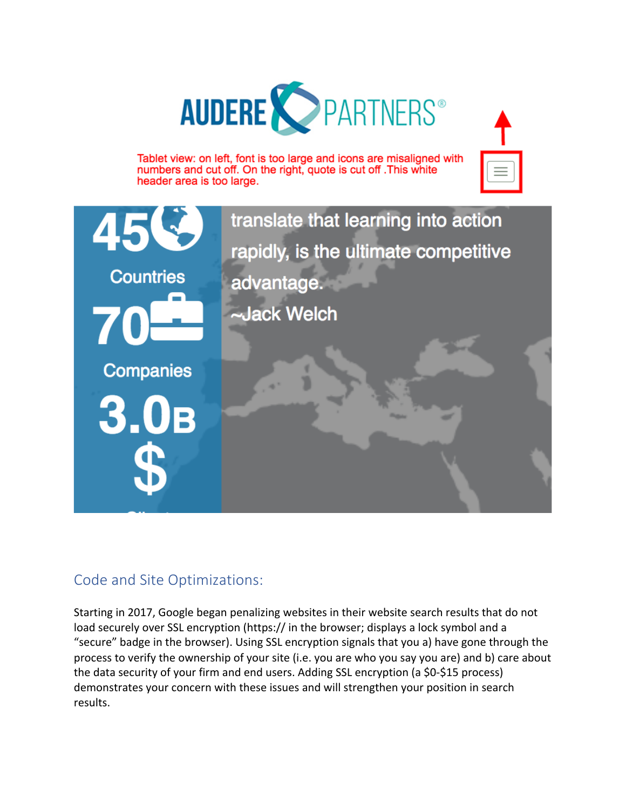





### Code and Site Optimizations:

Starting in 2017, Google began penalizing websites in their website search results that do not load securely over SSL encryption (https:// in the browser; displays a lock symbol and a "secure" badge in the browser). Using SSL encryption signals that you a) have gone through the process to verify the ownership of your site (i.e. you are who you say you are) and b) care about the data security of your firm and end users. Adding SSL encryption (a \$0-\$15 process) demonstrates your concern with these issues and will strengthen your position in search results.